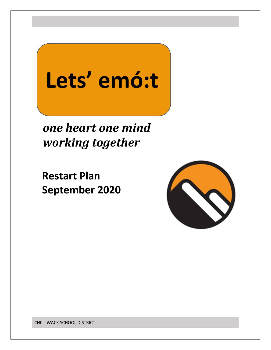# **Lets' emó:t**

 *one heart one mind working together*

 **Restart Plan September 2020**

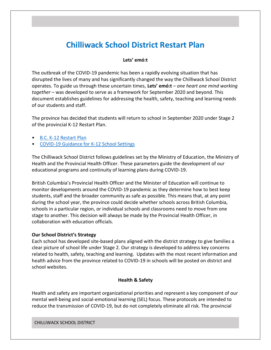# **Chilliwack School District Restart Plan**

# **Lets' emó:t**

The outbreak of the COVID-19 pandemic has been a rapidly evolving situation that has disrupted the lives of many and has significantly changed the way the Chilliwack School District operates. To guide us through these uncertain times, **Lets' emó:t** – *one heart one mind working together* – was developed to serve as a framework for September 2020 and beyond. This document establishes guidelines for addressing the health, safety, teaching and learning needs of our students and staff.

The province has decided that students will return to school in September 2020 under Stage 2 of the provincial K-12 Restart Plan.

- [B.C. K-12 Restart Plan](https://www2.gov.bc.ca/assets/gov/education/administration/kindergarten-to-grade-12/safe-caring-orderly/k-12-education-restart-plan.pdf)
- [COVID-19 Guidance for K-12 School Settings](http://www.bccdc.ca/Health-Info-Site/Documents/COVID_public_guidance/Guidance-k-12-schools.pdf)

The Chilliwack School District follows guidelines set by the Ministry of Education, the Ministry of Health and the Provincial Health Officer. These parameters guide the development of our educational programs and continuity of learning plans during COVID-19.

British Columbia's Provincial Health Officer and the Minister of Education will continue to monitor developments around the COVID-19 pandemic as they determine how to best keep students, staff and the broader community as safe as possible. This means that, at any point during the school year, the province could decide whether schools across British Columbia, schools in a particular region, or individual schools and classrooms need to move from one stage to another. This decision will always be made by the Provincial Health Officer, in collaboration with education officials.

#### **Our School District's Strategy**

Each school has developed site-based plans aligned with the district strategy to give families a clear picture of school life under Stage 2. Our strategy is developed to address key concerns related to health, safety, teaching and learning. Updates with the most recent information and health advice from the province related to COVID-19 in schools will be posted on district and school websites.

#### **Health & Safety**

Health and safety are important organizational priorities and represent a key component of our mental well-being and social-emotional learning (SEL) focus. These protocols are intended to reduce the transmission of COVID-19, but do not completely eliminate all risk. The provincial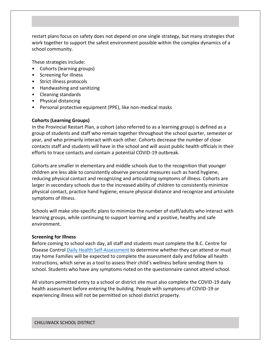restart plans focus on safety does not depend on one single strategy, but many strategies that work together to support the safest environment possible within the complex dynamics of a school community.

These strategies include:

- Cohorts (learning groups)
- Screening for illness
- Strict illness protocols
- Handwashing and sanitizing
- Cleaning standards
- Physical distancing
- Personal protective equipment (PPE), like non-medical masks

### **Cohorts (Learning Groups)**

In the Provincial Restart Plan, a cohort (also referred to as a learning group) is defined as a group of students and staff who remain together throughout the school quarter, semester or year, and who primarily interact with each other. Cohorts decrease the number of close contacts staff and students will have in the school and will assist public health officials in their efforts to trace contacts and contain a potential COVID-19 outbreak.

Cohorts are smaller in elementary and middle schools due to the recognition that younger children are less able to consistently observe personal measures such as hand hygiene, reducing physical contact and recognizing and articulating symptoms of illness. Cohorts are larger in secondary schools due to the increased ability of children to consistently minimize physical contact, practice hand hygiene, ensure physical distance and recognize and articulate symptoms of illness.

Schools will make site-specific plans to minimize the number of staff/adults who interact with learning groups, while continuing to support learning and a positive, healthy and safe environment.

#### **Screening for Illness**

Before coming to school each day, all staff and students must complete the B.C. Centre for Disease Control [Daily Health Self-Assessment](http://www.bccdc.ca/health-info/diseases-conditions/covid-19/about-covid-19/symptoms) to determine whether they can attend or must stay home Families will be expected to complete the assessment daily and follow all health instructions, which serve as a tool to assess their child's wellness before sending them to school. Students who have any symptoms noted on the questionnaire cannot attend school.

All visitors permitted entry to a school or district site must also complete the COVID-19 daily health assessment before entering the building. People with symptoms of COVID-19 or experiencing illness will not be permitted on school district property.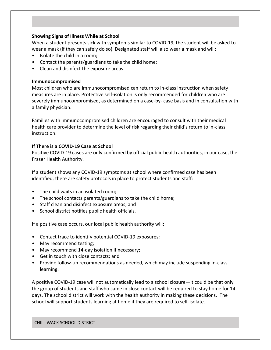# **Showing Signs of Illness While at School**

When a student presents sick with symptoms similar to COVID-19, the student will be asked to wear a mask (if they can safely do so). Designated staff will also wear a mask and will:

- Isolate the child in a room;
- Contact the parents/guardians to take the child home;
- Clean and disinfect the exposure areas

#### **Immunocompromised**

Most children who are immunocompromised can return to in-class instruction when safety measures are in place. Protective self-isolation is only recommended for children who are severely immunocompromised, as determined on a case-by- case basis and in consultation with a family physician.

Families with immunocompromised children are encouraged to consult with their medical health care provider to determine the level of risk regarding their child's return to in-class instruction.

#### **If There is a COVID-19 Case at School**

Positive COVID-19 cases are only confirmed by official public health authorities, in our case, the Fraser Health Authority.

If a student shows any COVID-19 symptoms at school where confirmed case has been identified, there are safety protocols in place to protect students and staff:

- The child waits in an isolated room;
- The school contacts parents/guardians to take the child home;
- Staff clean and disinfect exposure areas; and
- School district notifies public health officials.

If a positive case occurs, our local public health authority will:

- Contact trace to identify potential COVID-19 exposures;
- May recommend testing;
- May recommend 14-day isolation if necessary;
- Get in touch with close contacts; and
- Provide follow-up recommendations as needed, which may include suspending in-class learning.

A positive COVID-19 case will not automatically lead to a school closure—it could be that only the group of students and staff who came in close contact will be required to stay home for 14 days. The school district will work with the health authority in making these decisions. The school will support students learning at home if they are required to self-isolate.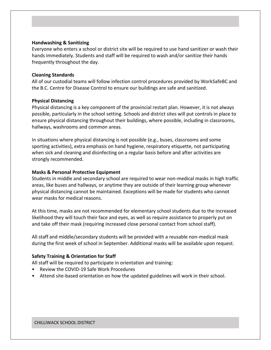# **Handwashing & Sanitizing**

Everyone who enters a school or district site will be required to use hand sanitizer or wash their hands immediately. Students and staff will be required to wash and/or sanitize their hands frequently throughout the day.

# **Cleaning Standards**

All of our custodial teams will follow infection control procedures provided by WorkSafeBC and the B.C. Centre for Disease Control to ensure our buildings are safe and sanitized.

### **Physical Distancing**

Physical distancing is a key component of the provincial restart plan. However, it is not always possible, particularly in the school setting. Schools and district sites will put controls in place to ensure physical distancing throughout their buildings, where possible, including in classrooms, hallways, washrooms and common areas.

In situations where physical distancing is not possible (e.g., buses, classrooms and some sporting activities), extra emphasis on hand hygiene, respiratory etiquette, not participating when sick and cleaning and disinfecting on a regular basis before and after activities are strongly recommended.

# **Masks & Personal Protective Equipment**

Students in middle and secondary school are required to wear non-medical masks in high traffic areas, like buses and hallways, or anytime they are outside of their learning group whenever physical distancing cannot be maintained. Exceptions will be made for students who cannot wear masks for medical reasons.

At this time, masks are not recommended for elementary school students due to the increased likelihood they will touch their face and eyes, as well as require assistance to properly put on and take off their mask (requiring increased close personal contact from school staff).

All staff and middle/secondary students will be provided with a reusable non-medical mask during the first week of school in September. Additional masks will be available upon request.

# **Safety Training & Orientation for Staff**

All staff will be required to participate in orientation and training:

- Review the COVID-19 Safe Work Procedures
- Attend site-based orientation on how the updated guidelines will work in their school.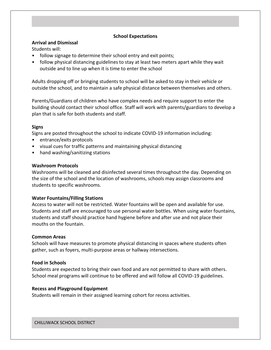# **School Expectations**

# **Arrival and Dismissal**

Students will:

- follow signage to determine their school entry and exit points;
- follow physical distancing guidelines to stay at least two meters apart while they wait outside and to line up when it is time to enter the school

Adults dropping off or bringing students to school will be asked to stay in their vehicle or outside the school, and to maintain a safe physical distance between themselves and others.

Parents/Guardians of children who have complex needs and require support to enter the building should contact their school office. Staff will work with parents/guardians to develop a plan that is safe for both students and staff.

# **Signs**

Signs are posted throughout the school to indicate COVID-19 information including:

- entrance/exits protocols
- visual cues for traffic patterns and maintaining physical distancing
- hand washing/sanitizing stations

# **Washroom Protocols**

Washrooms will be cleaned and disinfected several times throughout the day. Depending on the size of the school and the location of washrooms, schools may assign classrooms and students to specific washrooms.

# **Water Fountains/Filling Stations**

Access to water will not be restricted. Water fountains will be open and available for use. Students and staff are encouraged to use personal water bottles. When using water fountains, students and staff should practice hand hygiene before and after use and not place their mouths on the fountain.

# **Common Areas**

Schools will have measures to promote physical distancing in spaces where students often gather, such as foyers, multi-purpose areas or hallway intersections.

# **Food in Schools**

Students are expected to bring their own food and are not permitted to share with others. School meal programs will continue to be offered and will follow all COVID-19 guidelines.

# **Recess and Playground Equipment**

Students will remain in their assigned learning cohort for recess activities.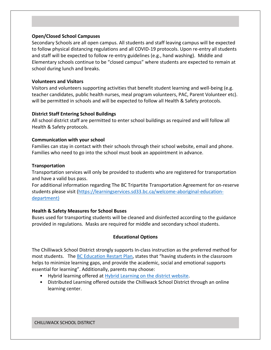# **Open/Closed School Campuses**

Secondary Schools are all open campus. All students and staff leaving campus will be expected to follow physical distancing regulations and all COVID-19 protocols. Upon re-entry all students and staff will be expected to follow re-entry guidelines (e.g., hand washing). Middle and Elementary schools continue to be "closed campus" where students are expected to remain at school during lunch and breaks.

#### **Volunteers and Visitors**

Visitors and volunteers supporting activities that benefit student learning and well-being (e.g. teacher candidates, public health nurses, meal program volunteers, PAC, Parent Volunteer etc). will be permitted in schools and will be expected to follow all Health & Safety protocols.

### **District Staff Entering School Buildings**

All school district staff are permitted to enter school buildings as required and will follow all Health & Safety protocols.

### **Communication with your school**

Families can stay in contact with their schools through their school website, email and phone. Families who need to go into the school must book an appointment in advance.

### **Transportation**

Transportation services will only be provided to students who are registered for transportation and have a valid bus pass.

For additional information regarding The BC Tripartite Transportation Agreement for on-reserve students please visit [\(https://learningservices.sd33.bc.ca/welcome-aboriginal-education](http://www.bccdc.ca/Health-Info-Site/Documents/COVID_public_guidance/Guidance-k-12-schools.pdf)[department\)](http://www.bccdc.ca/Health-Info-Site/Documents/COVID_public_guidance/Guidance-k-12-schools.pdf)

# **Health & Safety Measures for School Buses**

Buses used for transporting students will be cleaned and disinfected according to the guidance provided in regulations. Masks are required for middle and secondary school students.

# **Educational Options**

The Chilliwack School District strongly supports In-class instruction as the preferred method for most students. Th[e BC Education Restart Plan,](https://www2.gov.bc.ca/assets/gov/education/administration/kindergarten-to-grade-12/safe-caring-orderly/k-12-education-restart-plan.pdf) states that "having students in the classroom helps to minimize learning gaps, and provide the academic, social and emotional supports essential for learning". Additionally, parents may choose:

- Hybrid learning offered at [Hybrid Learning on the district website.](https://sd33.bc.ca/hybrid-learning)
- Distributed Learning offered outside the Chilliwack School District through an online learning center.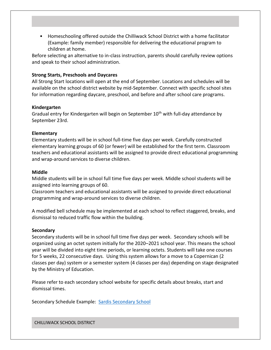• Homeschooling offered outside the Chilliwack School District with a home facilitator (Example: family member) responsible for delivering the educational program to children at home.

Before selecting an alternative to in-class instruction, parents should carefully review options and speak to their school administration.

# **Strong Starts, Preschools and Daycares**

All Strong Start locations will open at the end of September. Locations and schedules will be available on the school district website by mid-September. Connect with specific school sites for information regarding daycare, preschool, and before and after school care programs.

#### **Kindergarten**

Gradual entry for Kindergarten will begin on September 10<sup>th</sup> with full-day attendance by September 23rd.

### **Elementary**

Elementary students will be in school full-time five days per week. Carefully constructed elementary learning groups of 60 (or fewer) will be established for the first term. Classroom teachers and educational assistants will be assigned to provide direct educational programming and wrap-around services to diverse children.

#### **Middle**

Middle students will be in school full time five days per week. Middle school students will be assigned into learning groups of 60.

Classroom teachers and educational assistants will be assigned to provide direct educational programming and wrap-around services to diverse children.

A modified bell schedule may be implemented at each school to reflect staggered, breaks, and dismissal to reduced traffic flow within the building.

#### **Secondary**

Secondary students will be in school full time five days per week. Secondary schools will be organized using an octet system initially for the 2020–2021 school year. This means the school year will be divided into eight time periods, or learning octets. Students will take one courses for 5 weeks, 22 consecutive days. Using this system allows for a move to a Copernican (2 classes per day) system or a semester system (4 classes per day) depending on stage designated by the Ministry of Education.

Please refer to each secondary school website for specific details about breaks, start and dismissal times.

Secondary Schedule Example: [Sardis Secondary School](https://sss.sd33.bc.ca/sites/sss.sd33.bc.ca/files/2020-08/COVID-19%20Planning%20-%20Sardis%20Website%20Communication.pdf)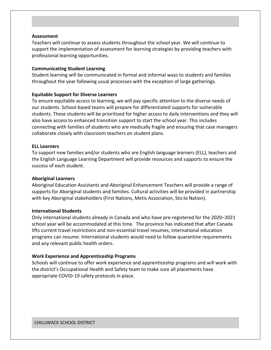#### **Assessment**

Teachers will continue to assess students throughout the school year. We will continue to support the implementation of assessment for learning strategies by providing teachers with professional learning opportunities.

#### **Communicating Student Learning**

Student learning will be communicated in formal and informal ways to students and families throughout the year following usual processes with the exception of large gatherings.

#### **Equitable Support for Diverse Learners**

To ensure equitable access to learning, we will pay specific attention to the diverse needs of our students. School-based teams will prepare for differentiated supports for vulnerable students. These students will be prioritized for higher access to daily interventions and they will also have access to enhanced transition support to start the school year. This includes connecting with families of students who are medically fragile and ensuring that case managers collaborate closely with classroom teachers on student plans.

#### **ELL Learners**

To support new families and/or students who are English language learners (ELL), teachers and the English Language Learning Department will provide resources and supports to ensure the success of each student.

#### **Aboriginal Learners**

Aboriginal Education Assistants and Aboriginal Enhancement Teachers will provide a range of supports for Aboriginal students and families. Cultural activities will be provided in partnership with key Aboriginal stakeholders (First Nations, Metis Association, Sto:lo Nation).

#### **International Students**

Only international students already in Canada and who have pre-registered for the 2020–2021 school year will be accommodated at this time. The province has indicated that after Canada lifts current travel restrictions and non-essential travel resumes, international education programs can resume. International students would need to follow quarantine requirements and any relevant public health orders.

#### **Work Experience and Apprenticeship Programs**

Schools will continue to offer work experience and apprenticeship programs and will work with the district's Occupational Health and Safety team to make sure all placements have appropriate COVID-19 safety protocols in place.